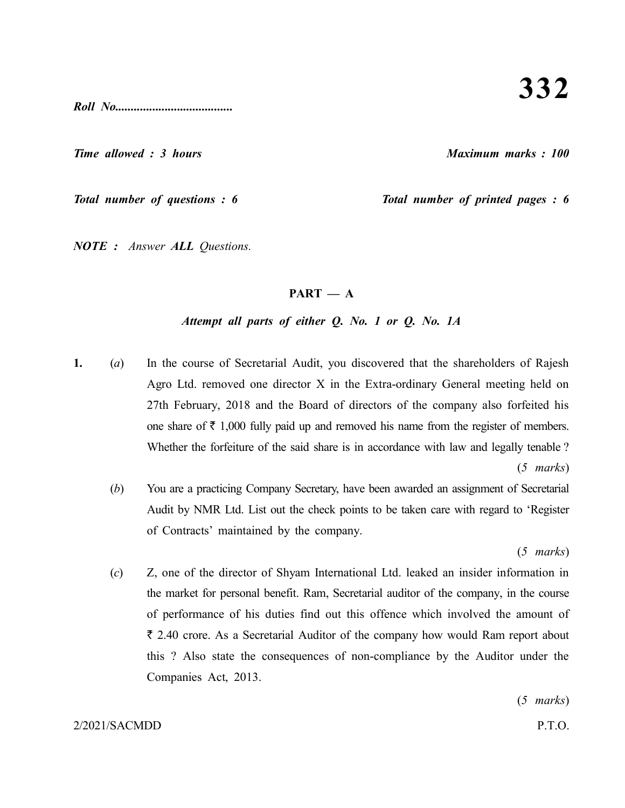*Roll No......................................*

*Time allowed : 3 hours Maximum marks : 100*

*Total number of questions : 6 Total number of printed pages : 6*

*NOTE : Answer ALL Questions.*

## $PART - A$

# *Attempt all parts of either Q. No. 1 or Q. No. 1A*

**1.** (*a*) In the course of Secretarial Audit, you discovered that the shareholders of Rajesh Agro Ltd. removed one director X in the Extra-ordinary General meeting held on 27th February, 2018 and the Board of directors of the company also forfeited his one share of  $\bar{\tau}$  1,000 fully paid up and removed his name from the register of members. Whether the forfeiture of the said share is in accordance with law and legally tenable ?

(*5 marks*)

(*b*) You are a practicing Company Secretary, have been awarded an assignment of Secretarial Audit by NMR Ltd. List out the check points to be taken care with regard to 'Register of Contracts' maintained by the company.

(*5 marks*)

(*c*) Z, one of the director of Shyam International Ltd. leaked an insider information in the market for personal benefit. Ram, Secretarial auditor of the company, in the course of performance of his duties find out this offence which involved the amount of  $\bar{\tau}$  2.40 crore. As a Secretarial Auditor of the company how would Ram report about this ? Also state the consequences of non-compliance by the Auditor under the Companies Act, 2013.

(*5 marks*)

#### 2/2021/SACMDD P.T.O.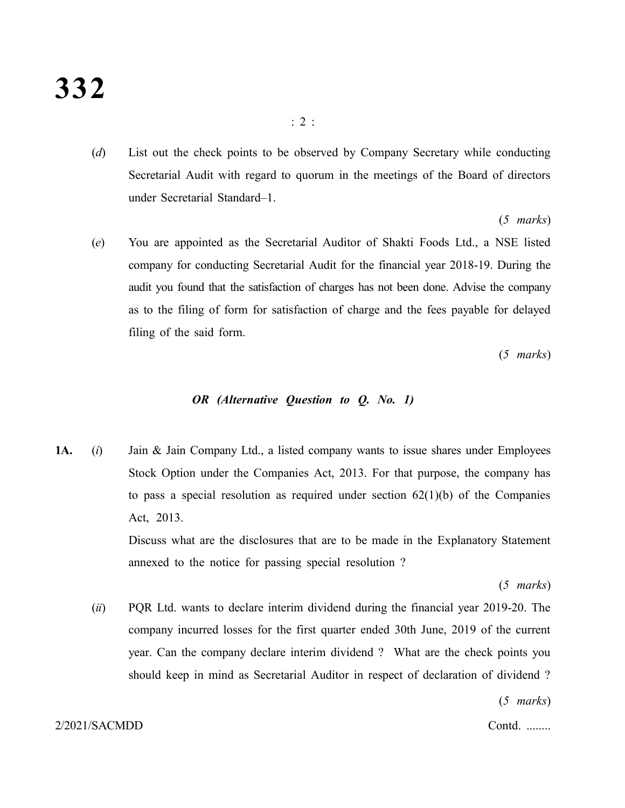(*d*) List out the check points to be observed by Company Secretary while conducting Secretarial Audit with regard to quorum in the meetings of the Board of directors under Secretarial Standard–1.

(*5 marks*)

(*e*) You are appointed as the Secretarial Auditor of Shakti Foods Ltd., a NSE listed company for conducting Secretarial Audit for the financial year 2018-19. During the audit you found that the satisfaction of charges has not been done. Advise the company as to the filing of form for satisfaction of charge and the fees payable for delayed filing of the said form.

(*5 marks*)

## *OR (Alternative Question to Q. No. 1)*

**1A.** (*i*) Jain & Jain Company Ltd., a listed company wants to issue shares under Employees Stock Option under the Companies Act, 2013. For that purpose, the company has to pass a special resolution as required under section  $62(1)(b)$  of the Companies Act, 2013. Discuss what are the disclosures that are to be made in the Explanatory Statement

annexed to the notice for passing special resolution ?

(*5 marks*)

(*ii*) PQR Ltd. wants to declare interim dividend during the financial year 2019-20. The company incurred losses for the first quarter ended 30th June, 2019 of the current year. Can the company declare interim dividend ? What are the check points you should keep in mind as Secretarial Auditor in respect of declaration of dividend ?

(*5 marks*)

#### 2/2021/SACMDD Contd. ........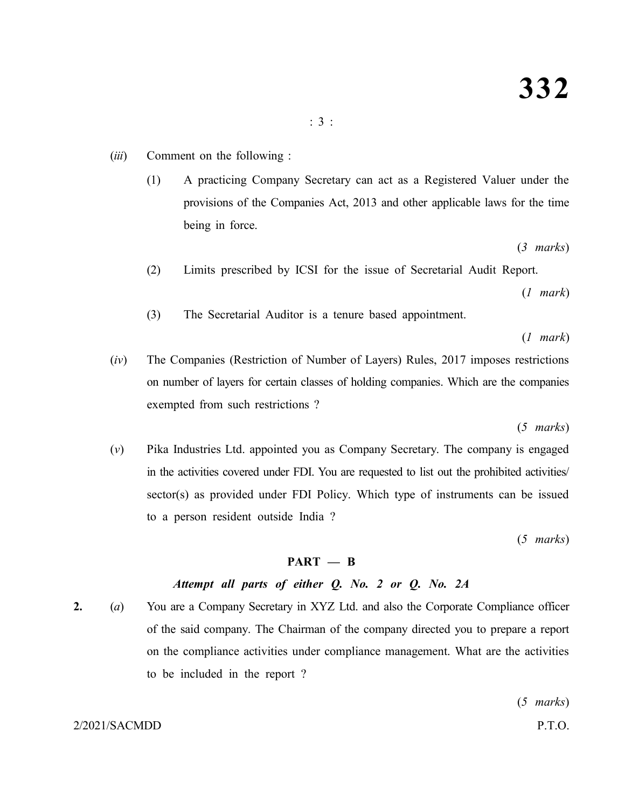- (*iii*) Comment on the following :
	- (1) A practicing Company Secretary can act as a Registered Valuer under the provisions of the Companies Act, 2013 and other applicable laws for the time being in force.

(*3 marks*)

(2) Limits prescribed by ICSI for the issue of Secretarial Audit Report.

(*1 mark*)

(3) The Secretarial Auditor is a tenure based appointment.

(*1 mark*)

(*iv*) The Companies (Restriction of Number of Layers) Rules, 2017 imposes restrictions on number of layers for certain classes of holding companies. Which are the companies exempted from such restrictions ?

(*5 marks*)

(*v*) Pika Industries Ltd. appointed you as Company Secretary. The company is engaged in the activities covered under FDI. You are requested to list out the prohibited activities/ sector(s) as provided under FDI Policy. Which type of instruments can be issued to a person resident outside India ?

(*5 marks*)

## **PART — B**

# *Attempt all parts of either Q. No. 2 or Q. No. 2A*

**2.** (*a*) You are a Company Secretary in XYZ Ltd. and also the Corporate Compliance officer of the said company. The Chairman of the company directed you to prepare a report on the compliance activities under compliance management. What are the activities to be included in the report ?

(*5 marks*)

#### 2/2021/SACMDD P.T.O.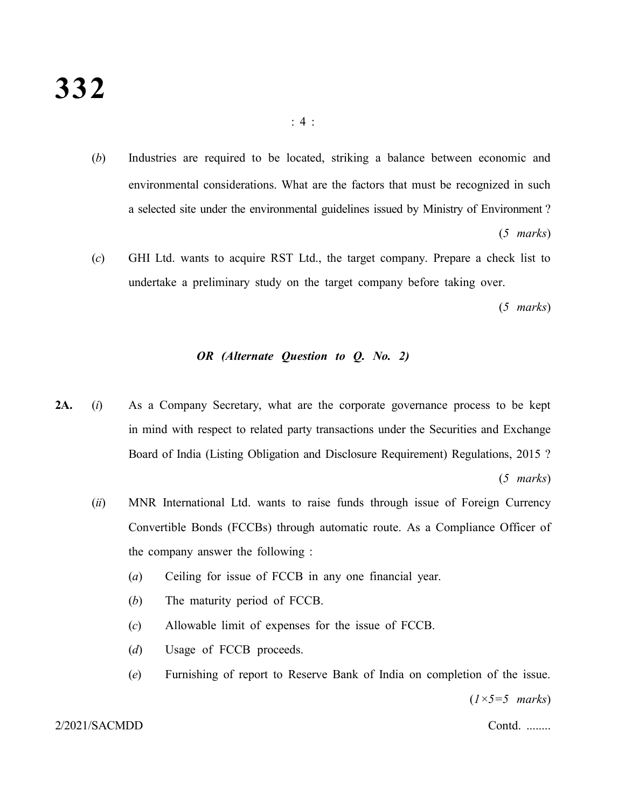- (*b*) Industries are required to be located, striking a balance between economic and environmental considerations. What are the factors that must be recognized in such a selected site under the environmental guidelines issued by Ministry of Environment ? (*5 marks*)
- (*c*) GHI Ltd. wants to acquire RST Ltd., the target company. Prepare a check list to undertake a preliminary study on the target company before taking over.

(*5 marks*)

# *OR (Alternate Question to Q. No. 2)*

- **2A.** (*i*) As a Company Secretary, what are the corporate governance process to be kept in mind with respect to related party transactions under the Securities and Exchange Board of India (Listing Obligation and Disclosure Requirement) Regulations, 2015 ? (*5 marks*)
	- (*ii*) MNR International Ltd. wants to raise funds through issue of Foreign Currency Convertible Bonds (FCCBs) through automatic route. As a Compliance Officer of the company answer the following :
		- (*a*) Ceiling for issue of FCCB in any one financial year.
		- (*b*) The maturity period of FCCB.
		- (*c*) Allowable limit of expenses for the issue of FCCB.
		- (*d*) Usage of FCCB proceeds.
		- (*e*) Furnishing of report to Reserve Bank of India on completion of the issue.

(*1×5=5 marks*)

2/2021/SACMDD Contd. ........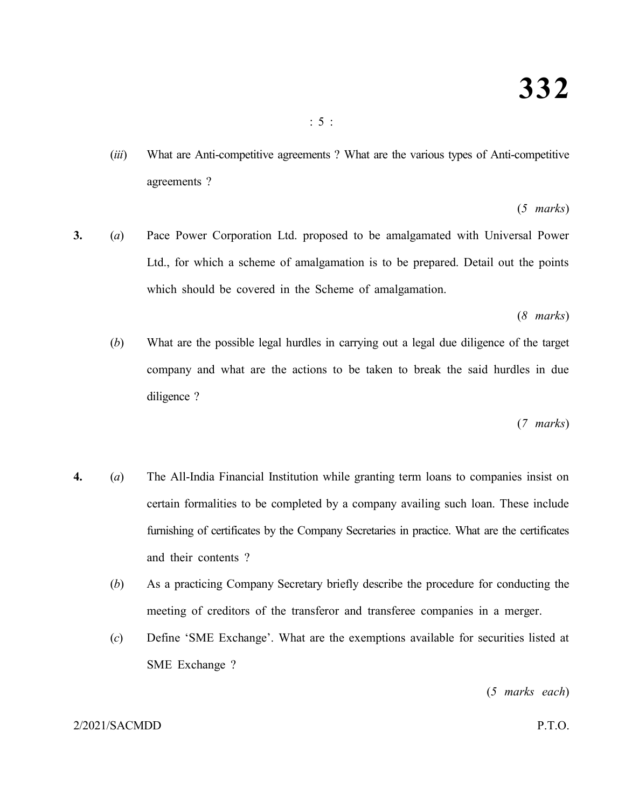(*iii*) What are Anti-competitive agreements ? What are the various types of Anti-competitive agreements ?

# (*5 marks*)

**3.** (*a*) Pace Power Corporation Ltd. proposed to be amalgamated with Universal Power Ltd., for which a scheme of amalgamation is to be prepared. Detail out the points which should be covered in the Scheme of amalgamation.

(*8 marks*)

(*b*) What are the possible legal hurdles in carrying out a legal due diligence of the target company and what are the actions to be taken to break the said hurdles in due diligence ?

(*7 marks*)

- **4.** (*a*) The All-India Financial Institution while granting term loans to companies insist on certain formalities to be completed by a company availing such loan. These include furnishing of certificates by the Company Secretaries in practice. What are the certificates and their contents ?
	- (*b*) As a practicing Company Secretary briefly describe the procedure for conducting the meeting of creditors of the transferor and transferee companies in a merger.
	- (*c*) Define 'SME Exchange'. What are the exemptions available for securities listed at SME Exchange ?

(*5 marks each*)

## 2/2021/SACMDD P.T.O.